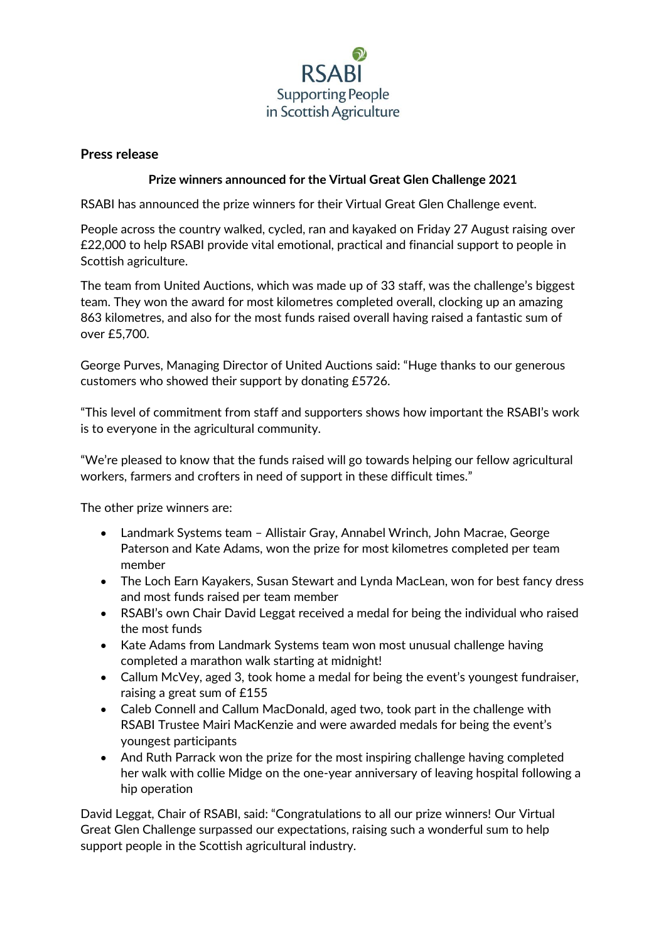

## **Press release**

## **Prize winners announced for the Virtual Great Glen Challenge 2021**

RSABI has announced the prize winners for their Virtual Great Glen Challenge event.

People across the country walked, cycled, ran and kayaked on Friday 27 August raising over £22,000 to help RSABI provide vital emotional, practical and financial support to people in Scottish agriculture.

The team from United Auctions, which was made up of 33 staff, was the challenge's biggest team. They won the award for most kilometres completed overall, clocking up an amazing 863 kilometres, and also for the most funds raised overall having raised a fantastic sum of over £5,700.

George Purves, Managing Director of United Auctions said: "Huge thanks to our generous customers who showed their support by donating £5726.

"This level of commitment from staff and supporters shows how important the RSABI's work is to everyone in the agricultural community.

"We're pleased to know that the funds raised will go towards helping our fellow agricultural workers, farmers and crofters in need of support in these difficult times."

The other prize winners are:

- Landmark Systems team Allistair Gray, Annabel Wrinch, John Macrae, George Paterson and Kate Adams, won the prize for most kilometres completed per team member
- The Loch Earn Kayakers, Susan Stewart and Lynda MacLean, won for best fancy dress and most funds raised per team member
- RSABI's own Chair David Leggat received a medal for being the individual who raised the most funds
- Kate Adams from Landmark Systems team won most unusual challenge having completed a marathon walk starting at midnight!
- Callum McVey, aged 3, took home a medal for being the event's youngest fundraiser, raising a great sum of £155
- Caleb Connell and Callum MacDonald, aged two, took part in the challenge with RSABI Trustee Mairi MacKenzie and were awarded medals for being the event's youngest participants
- And Ruth Parrack won the prize for the most inspiring challenge having completed her walk with collie Midge on the one-year anniversary of leaving hospital following a hip operation

David Leggat, Chair of RSABI, said: "Congratulations to all our prize winners! Our Virtual Great Glen Challenge surpassed our expectations, raising such a wonderful sum to help support people in the Scottish agricultural industry.